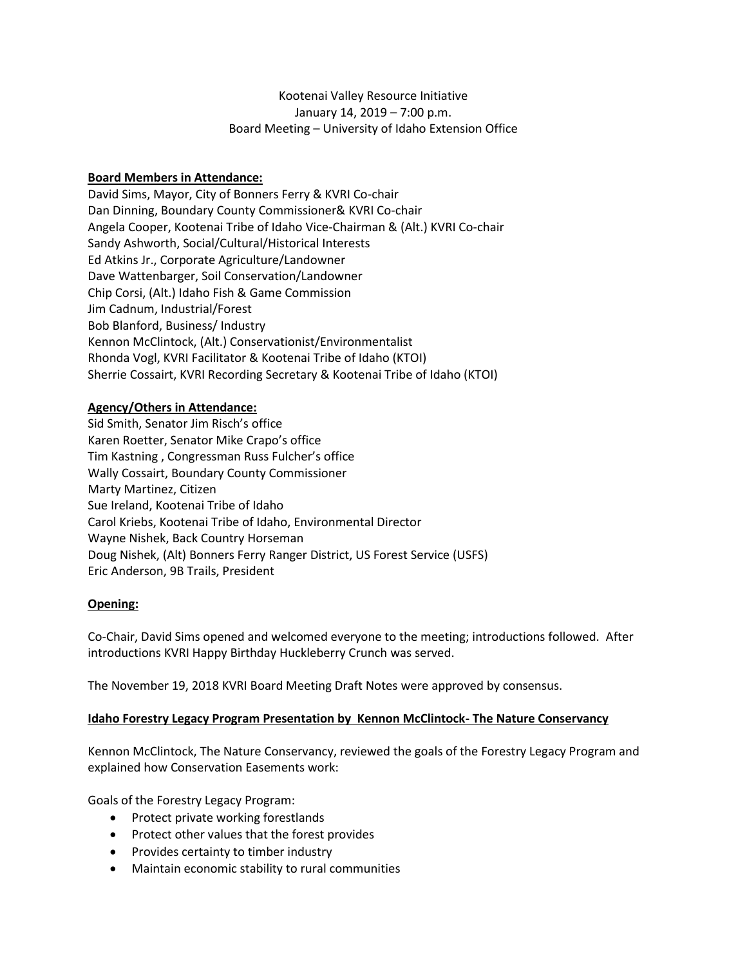# Kootenai Valley Resource Initiative January 14, 2019 – 7:00 p.m. Board Meeting – University of Idaho Extension Office

## **Board Members in Attendance:**

David Sims, Mayor, City of Bonners Ferry & KVRI Co-chair Dan Dinning, Boundary County Commissioner& KVRI Co-chair Angela Cooper, Kootenai Tribe of Idaho Vice-Chairman & (Alt.) KVRI Co-chair Sandy Ashworth, Social/Cultural/Historical Interests Ed Atkins Jr., Corporate Agriculture/Landowner Dave Wattenbarger, Soil Conservation/Landowner Chip Corsi, (Alt.) Idaho Fish & Game Commission Jim Cadnum, Industrial/Forest Bob Blanford, Business/ Industry Kennon McClintock, (Alt.) Conservationist/Environmentalist Rhonda Vogl, KVRI Facilitator & Kootenai Tribe of Idaho (KTOI) Sherrie Cossairt, KVRI Recording Secretary & Kootenai Tribe of Idaho (KTOI)

## **Agency/Others in Attendance:**

Sid Smith, Senator Jim Risch's office Karen Roetter, Senator Mike Crapo's office Tim Kastning , Congressman Russ Fulcher's office Wally Cossairt, Boundary County Commissioner Marty Martinez, Citizen Sue Ireland, Kootenai Tribe of Idaho Carol Kriebs, Kootenai Tribe of Idaho, Environmental Director Wayne Nishek, Back Country Horseman Doug Nishek, (Alt) Bonners Ferry Ranger District, US Forest Service (USFS) Eric Anderson, 9B Trails, President

### **Opening:**

Co-Chair, David Sims opened and welcomed everyone to the meeting; introductions followed. After introductions KVRI Happy Birthday Huckleberry Crunch was served.

The November 19, 2018 KVRI Board Meeting Draft Notes were approved by consensus.

### **Idaho Forestry Legacy Program Presentation by Kennon McClintock- The Nature Conservancy**

Kennon McClintock, The Nature Conservancy, reviewed the goals of the Forestry Legacy Program and explained how Conservation Easements work:

Goals of the Forestry Legacy Program:

- Protect private working forestlands
- Protect other values that the forest provides
- Provides certainty to timber industry
- Maintain economic stability to rural communities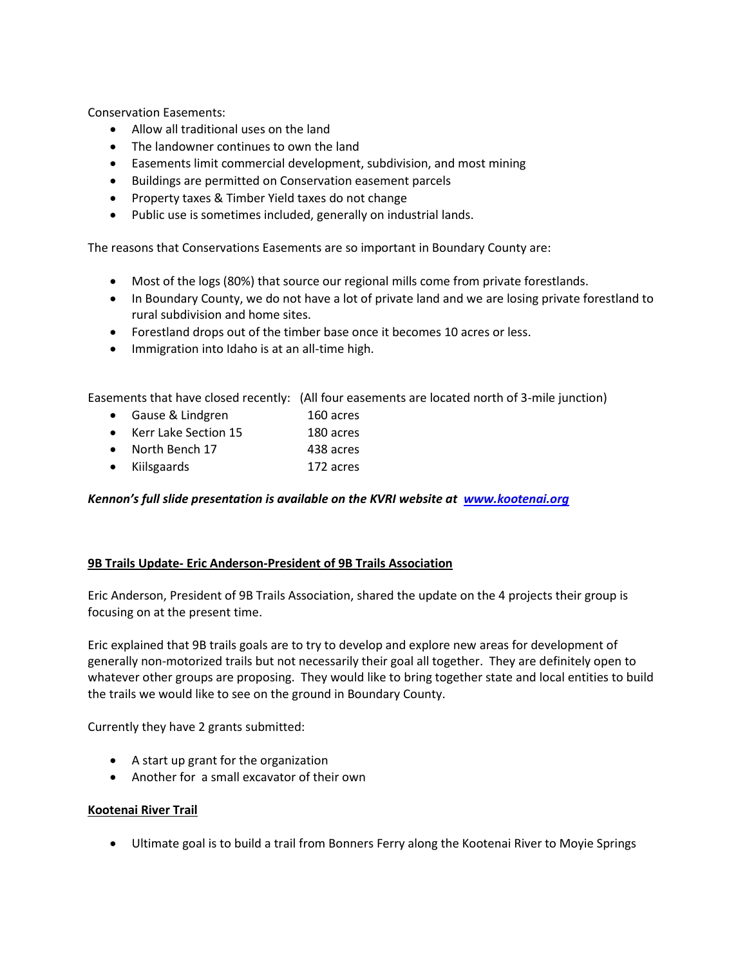Conservation Easements:

- Allow all traditional uses on the land
- The landowner continues to own the land
- Easements limit commercial development, subdivision, and most mining
- Buildings are permitted on Conservation easement parcels
- Property taxes & Timber Yield taxes do not change
- Public use is sometimes included, generally on industrial lands.

The reasons that Conservations Easements are so important in Boundary County are:

- Most of the logs (80%) that source our regional mills come from private forestlands.
- In Boundary County, we do not have a lot of private land and we are losing private forestland to rural subdivision and home sites.
- Forestland drops out of the timber base once it becomes 10 acres or less.
- Immigration into Idaho is at an all-time high.

Easements that have closed recently: (All four easements are located north of 3-mile junction)

- Gause & Lindgren 160 acres
- Kerr Lake Section 15 180 acres
- North Bench 17 438 acres
- Kiilsgaards 172 acres

*Kennon's full slide presentation is available on the KVRI website at [www.kootenai.org](http://www.kootenai.org/)*

### **9B Trails Update- Eric Anderson-President of 9B Trails Association**

Eric Anderson, President of 9B Trails Association, shared the update on the 4 projects their group is focusing on at the present time.

Eric explained that 9B trails goals are to try to develop and explore new areas for development of generally non-motorized trails but not necessarily their goal all together. They are definitely open to whatever other groups are proposing. They would like to bring together state and local entities to build the trails we would like to see on the ground in Boundary County.

Currently they have 2 grants submitted:

- A start up grant for the organization
- Another for a small excavator of their own

### **Kootenai River Trail**

Ultimate goal is to build a trail from Bonners Ferry along the Kootenai River to Moyie Springs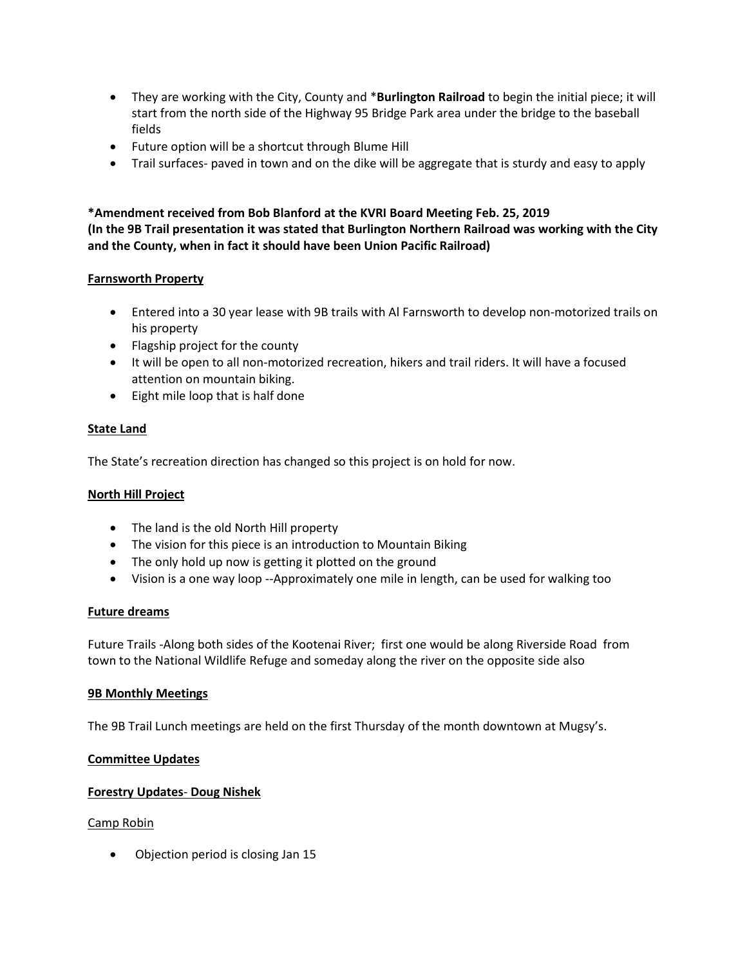- They are working with the City, County and \***Burlington Railroad** to begin the initial piece; it will start from the north side of the Highway 95 Bridge Park area under the bridge to the baseball fields
- Future option will be a shortcut through Blume Hill
- Trail surfaces- paved in town and on the dike will be aggregate that is sturdy and easy to apply

# **\*Amendment received from Bob Blanford at the KVRI Board Meeting Feb. 25, 2019 (In the 9B Trail presentation it was stated that Burlington Northern Railroad was working with the City and the County, when in fact it should have been Union Pacific Railroad)**

# **Farnsworth Property**

- Entered into a 30 year lease with 9B trails with Al Farnsworth to develop non-motorized trails on his property
- Flagship project for the county
- It will be open to all non-motorized recreation, hikers and trail riders. It will have a focused attention on mountain biking.
- Eight mile loop that is half done

## **State Land**

The State's recreation direction has changed so this project is on hold for now.

### **North Hill Project**

- The land is the old North Hill property
- The vision for this piece is an introduction to Mountain Biking
- The only hold up now is getting it plotted on the ground
- Vision is a one way loop --Approximately one mile in length, can be used for walking too

### **Future dreams**

Future Trails -Along both sides of the Kootenai River; first one would be along Riverside Road from town to the National Wildlife Refuge and someday along the river on the opposite side also

### **9B Monthly Meetings**

The 9B Trail Lunch meetings are held on the first Thursday of the month downtown at Mugsy's.

### **Committee Updates**

## **Forestry Updates**- **Doug Nishek**

### Camp Robin

Objection period is closing Jan 15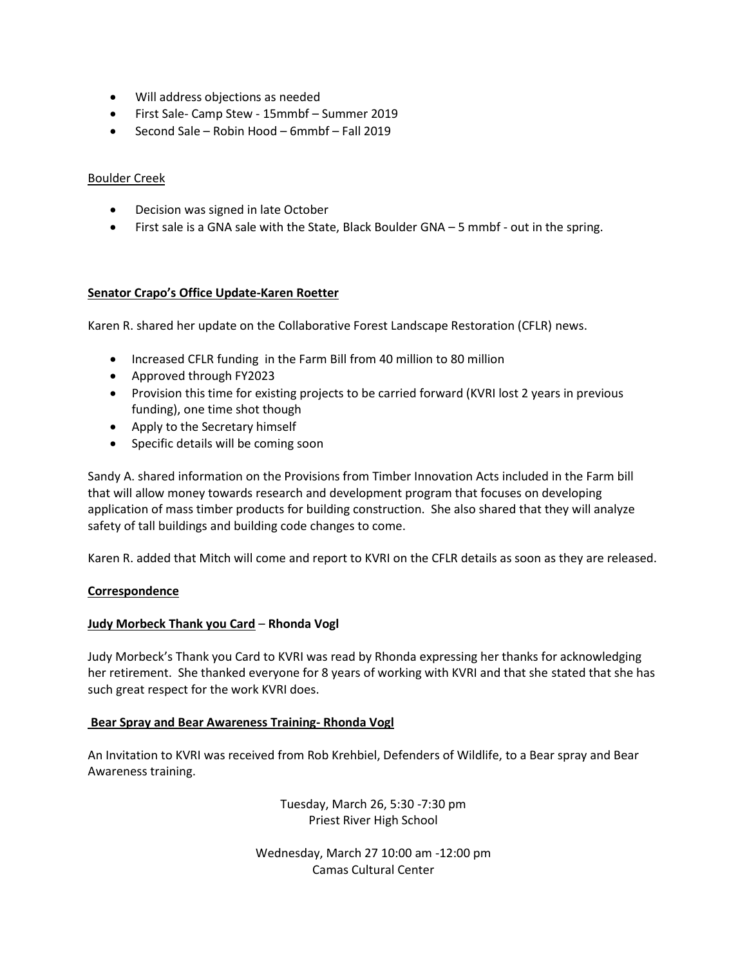- Will address objections as needed
- First Sale- Camp Stew 15mmbf Summer 2019
- Second Sale Robin Hood 6mmbf Fall 2019

#### Boulder Creek

- Decision was signed in late October
- First sale is a GNA sale with the State, Black Boulder GNA 5 mmbf out in the spring.

### **Senator Crapo's Office Update-Karen Roetter**

Karen R. shared her update on the Collaborative Forest Landscape Restoration (CFLR) news.

- Increased CFLR funding in the Farm Bill from 40 million to 80 million
- Approved through FY2023
- Provision this time for existing projects to be carried forward (KVRI lost 2 years in previous funding), one time shot though
- Apply to the Secretary himself
- Specific details will be coming soon

Sandy A. shared information on the Provisions from Timber Innovation Acts included in the Farm bill that will allow money towards research and development program that focuses on developing application of mass timber products for building construction. She also shared that they will analyze safety of tall buildings and building code changes to come.

Karen R. added that Mitch will come and report to KVRI on the CFLR details as soon as they are released.

### **Correspondence**

### **Judy Morbeck Thank you Card** – **Rhonda Vogl**

Judy Morbeck's Thank you Card to KVRI was read by Rhonda expressing her thanks for acknowledging her retirement. She thanked everyone for 8 years of working with KVRI and that she stated that she has such great respect for the work KVRI does.

### **Bear Spray and Bear Awareness Training- Rhonda Vogl**

An Invitation to KVRI was received from Rob Krehbiel, Defenders of Wildlife, to a Bear spray and Bear Awareness training.

> Tuesday, March 26, 5:30 -7:30 pm Priest River High School

Wednesday, March 27 10:00 am -12:00 pm Camas Cultural Center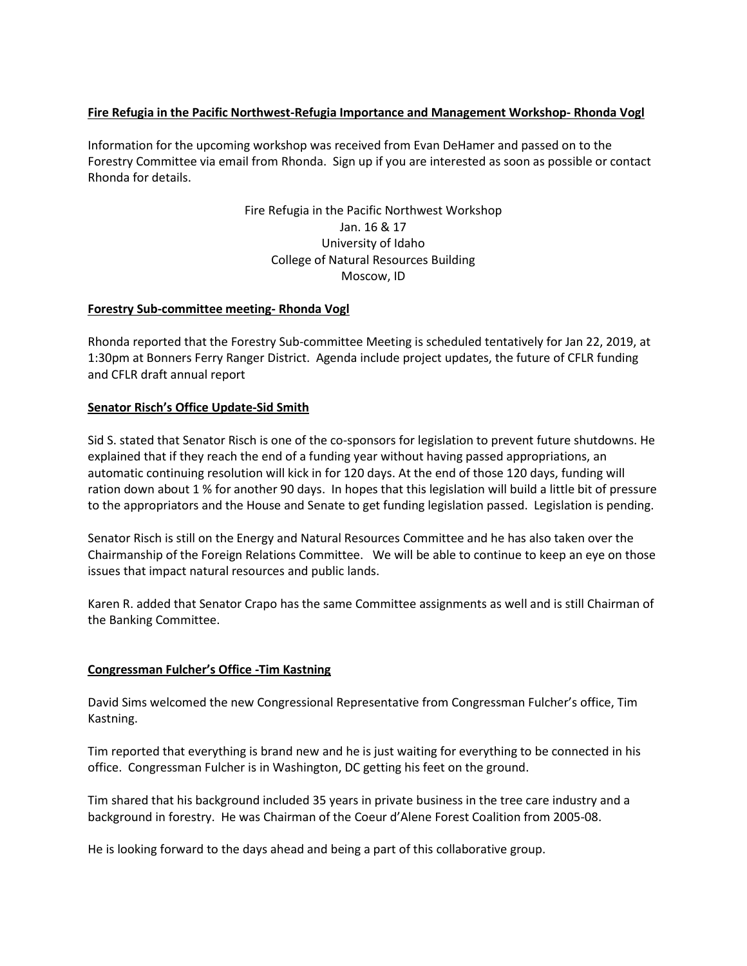### **Fire Refugia in the Pacific Northwest-Refugia Importance and Management Workshop- Rhonda Vogl**

Information for the upcoming workshop was received from Evan DeHamer and passed on to the Forestry Committee via email from Rhonda. Sign up if you are interested as soon as possible or contact Rhonda for details.

> Fire Refugia in the Pacific Northwest Workshop Jan. 16 & 17 University of Idaho College of Natural Resources Building Moscow, ID

### **Forestry Sub-committee meeting- Rhonda Vogl**

Rhonda reported that the Forestry Sub-committee Meeting is scheduled tentatively for Jan 22, 2019, at 1:30pm at Bonners Ferry Ranger District. Agenda include project updates, the future of CFLR funding and CFLR draft annual report

### **Senator Risch's Office Update-Sid Smith**

Sid S. stated that Senator Risch is one of the co-sponsors for legislation to prevent future shutdowns. He explained that if they reach the end of a funding year without having passed appropriations, an automatic continuing resolution will kick in for 120 days. At the end of those 120 days, funding will ration down about 1 % for another 90 days. In hopes that this legislation will build a little bit of pressure to the appropriators and the House and Senate to get funding legislation passed. Legislation is pending.

Senator Risch is still on the Energy and Natural Resources Committee and he has also taken over the Chairmanship of the Foreign Relations Committee. We will be able to continue to keep an eye on those issues that impact natural resources and public lands.

Karen R. added that Senator Crapo has the same Committee assignments as well and is still Chairman of the Banking Committee.

### **Congressman Fulcher's Office -Tim Kastning**

David Sims welcomed the new Congressional Representative from Congressman Fulcher's office, Tim Kastning.

Tim reported that everything is brand new and he is just waiting for everything to be connected in his office. Congressman Fulcher is in Washington, DC getting his feet on the ground.

Tim shared that his background included 35 years in private business in the tree care industry and a background in forestry. He was Chairman of the Coeur d'Alene Forest Coalition from 2005-08.

He is looking forward to the days ahead and being a part of this collaborative group.